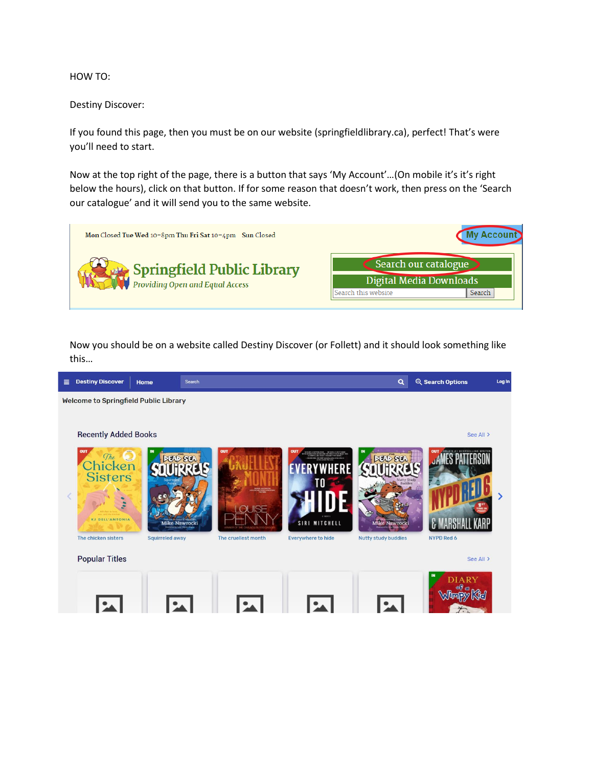HOW TO:

Destiny Discover:

If you found this page, then you must be on our website (springfieldlibrary.ca), perfect! That's were you'll need to start.

Now at the top right of the page, there is a button that says 'My Account'…(On mobile it's it's right below the hours), click on that button. If for some reason that doesn't work, then press on the 'Search our catalogue' and it will send you to the same website.



Now you should be on a website called Destiny Discover (or Follett) and it should look something like this…

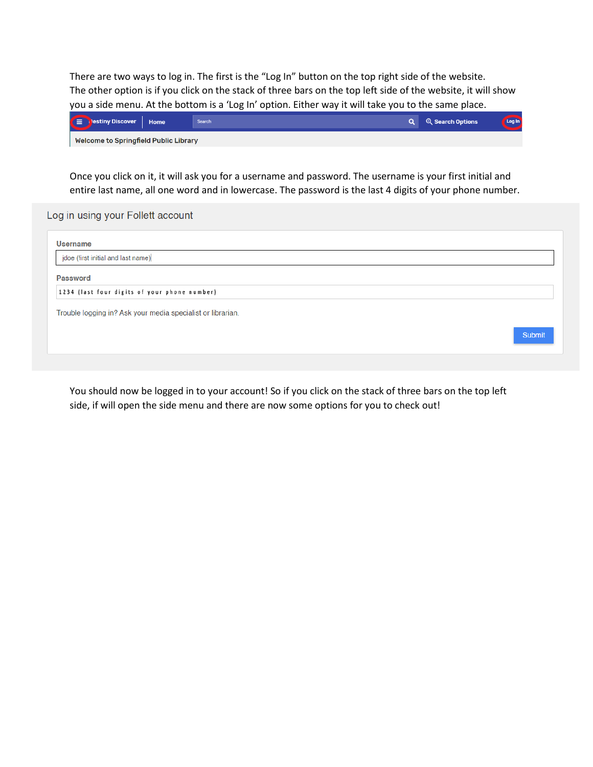There are two ways to log in. The first is the "Log In" button on the top right side of the website. The other option is if you click on the stack of three bars on the top left side of the website, it will show you a side menu. At the bottom is a 'Log In' option. Either way it will take you to the same place.

| <b>EX</b><br>Destiny Discover         | <b>Home</b> | <b>Search</b> | <b>Q</b> Search Options | Log In |
|---------------------------------------|-------------|---------------|-------------------------|--------|
| Welcome to Springfield Public Library |             |               |                         |        |

Once you click on it, it will ask you for a username and password. The username is your first initial and entire last name, all one word and in lowercase. The password is the last 4 digits of your phone number.

Log in using your Follett account

| <b>Username</b>                                             |               |
|-------------------------------------------------------------|---------------|
| jdoe (first initial and last name)                          |               |
| <b>Password</b>                                             |               |
| 1234 (last four digits of your phone number)                |               |
| Trouble logging in? Ask your media specialist or librarian. |               |
|                                                             | <b>Submit</b> |

You should now be logged in to your account! So if you click on the stack of three bars on the top left side, if will open the side menu and there are now some options for you to check out!